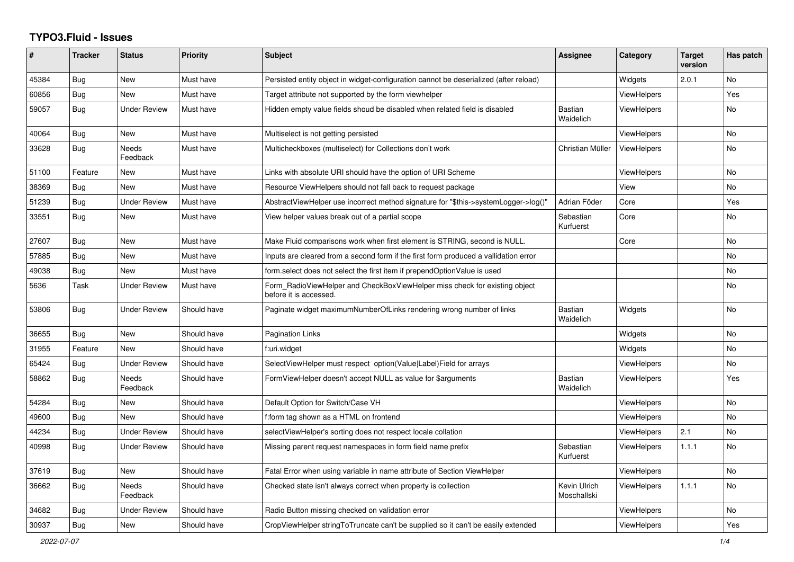## **TYPO3.Fluid - Issues**

| #     | <b>Tracker</b> | <b>Status</b>            | <b>Priority</b> | <b>Subject</b>                                                                                       | Assignee                    | Category           | <b>Target</b><br>version | Has patch      |
|-------|----------------|--------------------------|-----------------|------------------------------------------------------------------------------------------------------|-----------------------------|--------------------|--------------------------|----------------|
| 45384 | Bug            | <b>New</b>               | Must have       | Persisted entity object in widget-configuration cannot be deserialized (after reload)                |                             | Widgets            | 2.0.1                    | <b>No</b>      |
| 60856 | Bug            | <b>New</b>               | Must have       | Target attribute not supported by the form viewhelper                                                |                             | <b>ViewHelpers</b> |                          | Yes            |
| 59057 | Bug            | <b>Under Review</b>      | Must have       | Hidden empty value fields shoud be disabled when related field is disabled                           | <b>Bastian</b><br>Waidelich | ViewHelpers        |                          | No             |
| 40064 | Bug            | New                      | Must have       | Multiselect is not getting persisted                                                                 |                             | <b>ViewHelpers</b> |                          | No             |
| 33628 | Bug            | <b>Needs</b><br>Feedback | Must have       | Multicheckboxes (multiselect) for Collections don't work                                             | Christian Müller            | <b>ViewHelpers</b> |                          | No             |
| 51100 | Feature        | <b>New</b>               | Must have       | Links with absolute URI should have the option of URI Scheme                                         |                             | <b>ViewHelpers</b> |                          | N <sub>o</sub> |
| 38369 | Bug            | <b>New</b>               | Must have       | Resource ViewHelpers should not fall back to request package                                         |                             | View               |                          | No             |
| 51239 | Bug            | <b>Under Review</b>      | Must have       | AbstractViewHelper use incorrect method signature for "\$this->systemLogger->log()"                  | Adrian Föder                | Core               |                          | Yes            |
| 33551 | Bug            | New                      | Must have       | View helper values break out of a partial scope                                                      | Sebastian<br>Kurfuerst      | Core               |                          | No             |
| 27607 | Bug            | New                      | Must have       | Make Fluid comparisons work when first element is STRING, second is NULL.                            |                             | Core               |                          | <b>No</b>      |
| 57885 | Bug            | New                      | Must have       | Inputs are cleared from a second form if the first form produced a vallidation error                 |                             |                    |                          | <b>No</b>      |
| 49038 | Bug            | New                      | Must have       | form select does not select the first item if prependOptionValue is used                             |                             |                    |                          | No             |
| 5636  | Task           | <b>Under Review</b>      | Must have       | Form RadioViewHelper and CheckBoxViewHelper miss check for existing object<br>before it is accessed. |                             |                    |                          | No             |
| 53806 | Bug            | <b>Under Review</b>      | Should have     | Paginate widget maximumNumberOfLinks rendering wrong number of links                                 | <b>Bastian</b><br>Waidelich | Widgets            |                          | <b>No</b>      |
| 36655 | Bug            | <b>New</b>               | Should have     | Pagination Links                                                                                     |                             | Widgets            |                          | N <sub>o</sub> |
| 31955 | Feature        | <b>New</b>               | Should have     | f:uri.widget                                                                                         |                             | Widgets            |                          | No             |
| 65424 | <b>Bug</b>     | <b>Under Review</b>      | Should have     | SelectViewHelper must respect option(Value Label)Field for arrays                                    |                             | ViewHelpers        |                          | No             |
| 58862 | Bug            | Needs<br>Feedback        | Should have     | FormViewHelper doesn't accept NULL as value for \$arguments                                          | <b>Bastian</b><br>Waidelich | ViewHelpers        |                          | Yes            |
| 54284 | Bug            | New                      | Should have     | Default Option for Switch/Case VH                                                                    |                             | <b>ViewHelpers</b> |                          | <b>No</b>      |
| 49600 | Bug            | <b>New</b>               | Should have     | f:form tag shown as a HTML on frontend                                                               |                             | <b>ViewHelpers</b> |                          | <b>No</b>      |
| 44234 | Bug            | <b>Under Review</b>      | Should have     | selectViewHelper's sorting does not respect locale collation                                         |                             | <b>ViewHelpers</b> | 2.1                      | No             |
| 40998 | <b>Bug</b>     | <b>Under Review</b>      | Should have     | Missing parent request namespaces in form field name prefix                                          | Sebastian<br>Kurfuerst      | <b>ViewHelpers</b> | 1.1.1                    | <b>No</b>      |
| 37619 | Bug            | <b>New</b>               | Should have     | Fatal Error when using variable in name attribute of Section ViewHelper                              |                             | <b>ViewHelpers</b> |                          | <b>No</b>      |
| 36662 | Bug            | <b>Needs</b><br>Feedback | Should have     | Checked state isn't always correct when property is collection                                       | Kevin Ulrich<br>Moschallski | <b>ViewHelpers</b> | 1.1.1                    | <b>No</b>      |
| 34682 | Bug            | <b>Under Review</b>      | Should have     | Radio Button missing checked on validation error                                                     |                             | ViewHelpers        |                          | <b>No</b>      |
| 30937 | Bug            | New                      | Should have     | CropViewHelper stringToTruncate can't be supplied so it can't be easily extended                     |                             | <b>ViewHelpers</b> |                          | Yes            |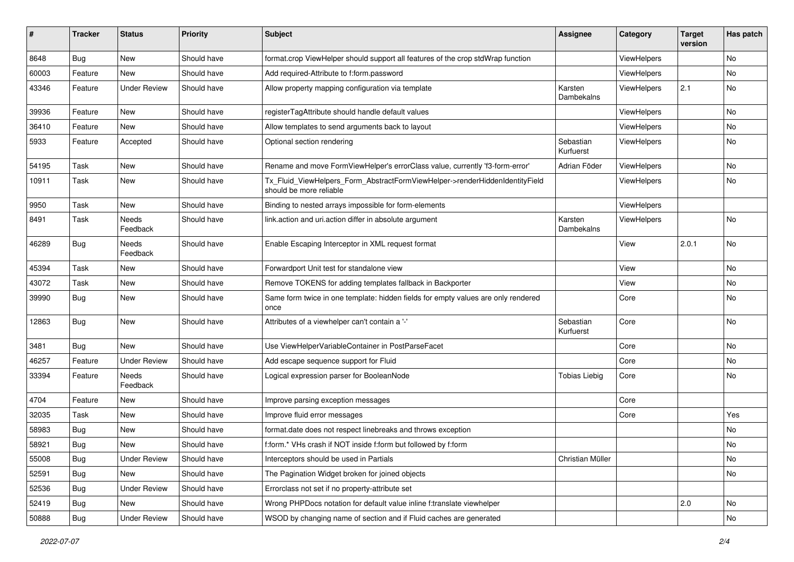| $\sharp$ | <b>Tracker</b> | <b>Status</b>       | <b>Priority</b> | Subject                                                                                                | <b>Assignee</b>        | Category           | <b>Target</b><br>version | Has patch |
|----------|----------------|---------------------|-----------------|--------------------------------------------------------------------------------------------------------|------------------------|--------------------|--------------------------|-----------|
| 8648     | Bug            | New                 | Should have     | format.crop ViewHelper should support all features of the crop stdWrap function                        |                        | ViewHelpers        |                          | No        |
| 60003    | Feature        | New                 | Should have     | Add required-Attribute to f:form.password                                                              |                        | ViewHelpers        |                          | No        |
| 43346    | Feature        | <b>Under Review</b> | Should have     | Allow property mapping configuration via template                                                      | Karsten<br>Dambekalns  | ViewHelpers        | 2.1                      | No        |
| 39936    | Feature        | New                 | Should have     | registerTagAttribute should handle default values                                                      |                        | ViewHelpers        |                          | No        |
| 36410    | Feature        | New                 | Should have     | Allow templates to send arguments back to layout                                                       |                        | ViewHelpers        |                          | No        |
| 5933     | Feature        | Accepted            | Should have     | Optional section rendering                                                                             | Sebastian<br>Kurfuerst | <b>ViewHelpers</b> |                          | No        |
| 54195    | Task           | <b>New</b>          | Should have     | Rename and move FormViewHelper's errorClass value, currently 'f3-form-error'                           | Adrian Föder           | ViewHelpers        |                          | <b>No</b> |
| 10911    | Task           | New                 | Should have     | Tx_Fluid_ViewHelpers_Form_AbstractFormViewHelper->renderHiddenIdentityField<br>should be more reliable |                        | ViewHelpers        |                          | No        |
| 9950     | Task           | New                 | Should have     | Binding to nested arrays impossible for form-elements                                                  |                        | ViewHelpers        |                          |           |
| 8491     | Task           | Needs<br>Feedback   | Should have     | link.action and uri.action differ in absolute argument                                                 | Karsten<br>Dambekalns  | ViewHelpers        |                          | No        |
| 46289    | <b>Bug</b>     | Needs<br>Feedback   | Should have     | Enable Escaping Interceptor in XML request format                                                      |                        | View               | 2.0.1                    | <b>No</b> |
| 45394    | Task           | New                 | Should have     | Forwardport Unit test for standalone view                                                              |                        | View               |                          | No        |
| 43072    | Task           | New                 | Should have     | Remove TOKENS for adding templates fallback in Backporter                                              |                        | View               |                          | No        |
| 39990    | Bug            | New                 | Should have     | Same form twice in one template: hidden fields for empty values are only rendered<br>once              |                        | Core               |                          | No        |
| 12863    | Bug            | New                 | Should have     | Attributes of a viewhelper can't contain a '-'                                                         | Sebastian<br>Kurfuerst | Core               |                          | No        |
| 3481     | Bug            | <b>New</b>          | Should have     | Use ViewHelperVariableContainer in PostParseFacet                                                      |                        | Core               |                          | <b>No</b> |
| 46257    | Feature        | <b>Under Review</b> | Should have     | Add escape sequence support for Fluid                                                                  |                        | Core               |                          | No        |
| 33394    | Feature        | Needs<br>Feedback   | Should have     | Logical expression parser for BooleanNode                                                              | <b>Tobias Liebig</b>   | Core               |                          | No        |
| 4704     | Feature        | New                 | Should have     | Improve parsing exception messages                                                                     |                        | Core               |                          |           |
| 32035    | Task           | New                 | Should have     | Improve fluid error messages                                                                           |                        | Core               |                          | Yes       |
| 58983    | Bug            | New                 | Should have     | format.date does not respect linebreaks and throws exception                                           |                        |                    |                          | No        |
| 58921    | Bug            | New                 | Should have     | f:form.* VHs crash if NOT inside f:form but followed by f:form                                         |                        |                    |                          | No        |
| 55008    | Bug            | <b>Under Review</b> | Should have     | Interceptors should be used in Partials                                                                | Christian Müller       |                    |                          | No        |
| 52591    | Bug            | New                 | Should have     | The Pagination Widget broken for joined objects                                                        |                        |                    |                          | No        |
| 52536    | <b>Bug</b>     | <b>Under Review</b> | Should have     | Errorclass not set if no property-attribute set                                                        |                        |                    |                          |           |
| 52419    | Bug            | New                 | Should have     | Wrong PHPDocs notation for default value inline f:translate viewhelper                                 |                        |                    | 2.0                      | No        |
| 50888    | Bug            | <b>Under Review</b> | Should have     | WSOD by changing name of section and if Fluid caches are generated                                     |                        |                    |                          | No        |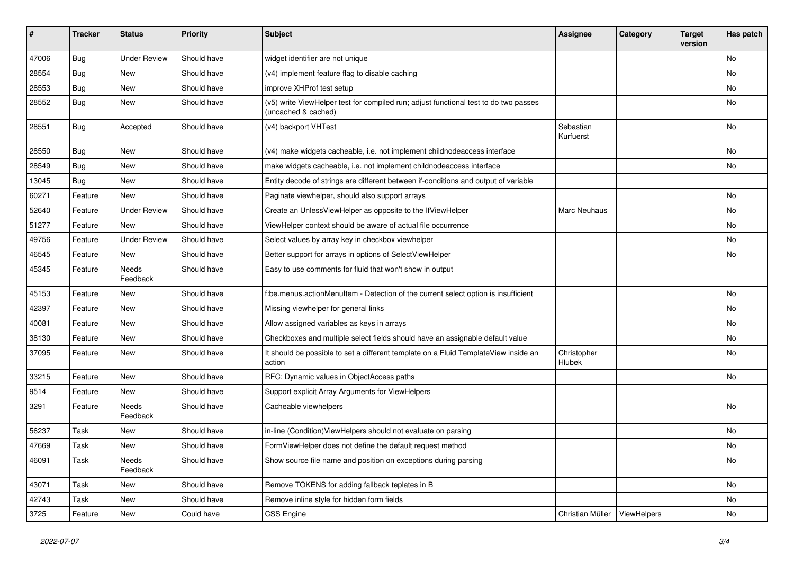| $\sharp$ | <b>Tracker</b> | <b>Status</b>       | <b>Priority</b> | Subject                                                                                                     | <b>Assignee</b>        | Category    | <b>Target</b><br>version | Has patch |
|----------|----------------|---------------------|-----------------|-------------------------------------------------------------------------------------------------------------|------------------------|-------------|--------------------------|-----------|
| 47006    | Bug            | <b>Under Review</b> | Should have     | widget identifier are not unique                                                                            |                        |             |                          | <b>No</b> |
| 28554    | Bug            | New                 | Should have     | (v4) implement feature flag to disable caching                                                              |                        |             |                          | No        |
| 28553    | Bug            | New                 | Should have     | improve XHProf test setup                                                                                   |                        |             |                          | No        |
| 28552    | Bug            | New                 | Should have     | (v5) write ViewHelper test for compiled run; adjust functional test to do two passes<br>(uncached & cached) |                        |             |                          | No        |
| 28551    | Bug            | Accepted            | Should have     | (v4) backport VHTest                                                                                        | Sebastian<br>Kurfuerst |             |                          | No        |
| 28550    | Bug            | <b>New</b>          | Should have     | (v4) make widgets cacheable, i.e. not implement childnodeaccess interface                                   |                        |             |                          | No        |
| 28549    | Bug            | New                 | Should have     | make widgets cacheable, i.e. not implement childnodeaccess interface                                        |                        |             |                          | No        |
| 13045    | Bug            | New                 | Should have     | Entity decode of strings are different between if-conditions and output of variable                         |                        |             |                          |           |
| 60271    | Feature        | New                 | Should have     | Paginate viewhelper, should also support arrays                                                             |                        |             |                          | No        |
| 52640    | Feature        | <b>Under Review</b> | Should have     | Create an UnlessViewHelper as opposite to the IfViewHelper                                                  | Marc Neuhaus           |             |                          | No        |
| 51277    | Feature        | New                 | Should have     | ViewHelper context should be aware of actual file occurrence                                                |                        |             |                          | No        |
| 49756    | Feature        | <b>Under Review</b> | Should have     | Select values by array key in checkbox viewhelper                                                           |                        |             |                          | No        |
| 46545    | Feature        | New                 | Should have     | Better support for arrays in options of SelectViewHelper                                                    |                        |             |                          | No        |
| 45345    | Feature        | Needs<br>Feedback   | Should have     | Easy to use comments for fluid that won't show in output                                                    |                        |             |                          |           |
| 45153    | Feature        | New                 | Should have     | f:be.menus.actionMenuItem - Detection of the current select option is insufficient                          |                        |             |                          | No        |
| 42397    | Feature        | New                 | Should have     | Missing viewhelper for general links                                                                        |                        |             |                          | No        |
| 40081    | Feature        | New                 | Should have     | Allow assigned variables as keys in arrays                                                                  |                        |             |                          | No        |
| 38130    | Feature        | <b>New</b>          | Should have     | Checkboxes and multiple select fields should have an assignable default value                               |                        |             |                          | No        |
| 37095    | Feature        | New                 | Should have     | It should be possible to set a different template on a Fluid TemplateView inside an<br>action               | Christopher<br>Hlubek  |             |                          | No        |
| 33215    | Feature        | New                 | Should have     | RFC: Dynamic values in ObjectAccess paths                                                                   |                        |             |                          | No        |
| 9514     | Feature        | New                 | Should have     | Support explicit Array Arguments for ViewHelpers                                                            |                        |             |                          |           |
| 3291     | Feature        | Needs<br>Feedback   | Should have     | Cacheable viewhelpers                                                                                       |                        |             |                          | <b>No</b> |
| 56237    | Task           | New                 | Should have     | in-line (Condition) ViewHelpers should not evaluate on parsing                                              |                        |             |                          | No        |
| 47669    | Task           | New                 | Should have     | FormViewHelper does not define the default request method                                                   |                        |             |                          | No        |
| 46091    | Task           | Needs<br>Feedback   | Should have     | Show source file name and position on exceptions during parsing                                             |                        |             |                          | No        |
| 43071    | Task           | New                 | Should have     | Remove TOKENS for adding fallback teplates in B                                                             |                        |             |                          | No        |
| 42743    | Task           | New                 | Should have     | Remove inline style for hidden form fields                                                                  |                        |             |                          | No        |
| 3725     | Feature        | New                 | Could have      | <b>CSS Engine</b>                                                                                           | Christian Müller       | ViewHelpers |                          | No        |